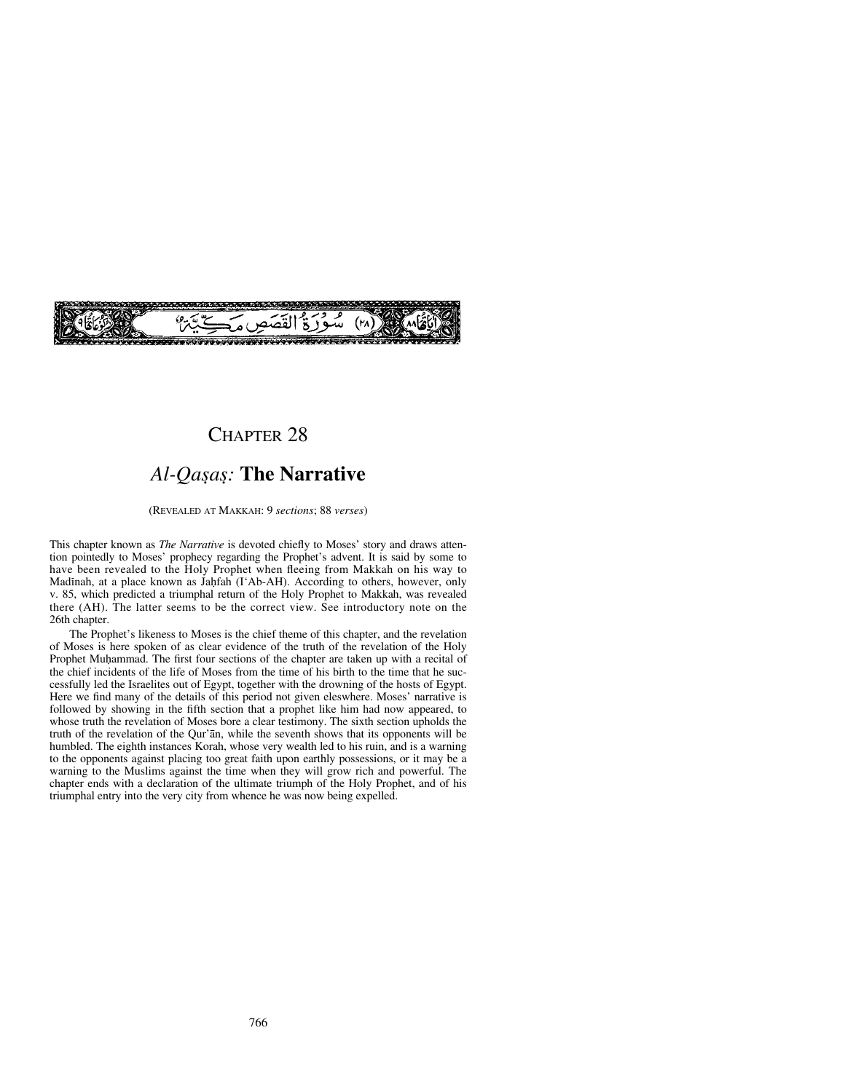

# CHAPTER 28

# *Al-Qa©a©:* **The Narrative**

#### (REVEALED AT MAKKAH: 9 *sections*; 88 *verses*)

This chapter known as *The Narrative* is devoted chiefly to Moses' story and draws attention pointedly to Moses' prophecy regarding the Prophet's advent. It is said by some to have been revealed to the Holy Prophet when fleeing from Makkah on his way to Madinah, at a place known as Jahfah (I'Ab-AH). According to others, however, only v. 85, which predicted a triumphal return of the Holy Prophet to Makkah, was revealed there (AH). The latter seems to be the correct view. See introductory note on the 26th chapter.

The Prophet's likeness to Moses is the chief theme of this chapter, and the revelation of Moses is here spoken of as clear evidence of the truth of the revelation of the Holy Prophet Muhammad. The first four sections of the chapter are taken up with a recital of the chief incidents of the life of Moses from the time of his birth to the time that he successfully led the Israelites out of Egypt, together with the drowning of the hosts of Egypt. Here we find many of the details of this period not given eleswhere. Moses' narrative is followed by showing in the fifth section that a prophet like him had now appeared, to whose truth the revelation of Moses bore a clear testimony. The sixth section upholds the truth of the revelation of the Qur'ån, while the seventh shows that its opponents will be humbled. The eighth instances Korah, whose very wealth led to his ruin, and is a warning to the opponents against placing too great faith upon earthly possessions, or it may be a warning to the Muslims against the time when they will grow rich and powerful. The chapter ends with a declaration of the ultimate triumph of the Holy Prophet, and of his triumphal entry into the very city from whence he was now being expelled.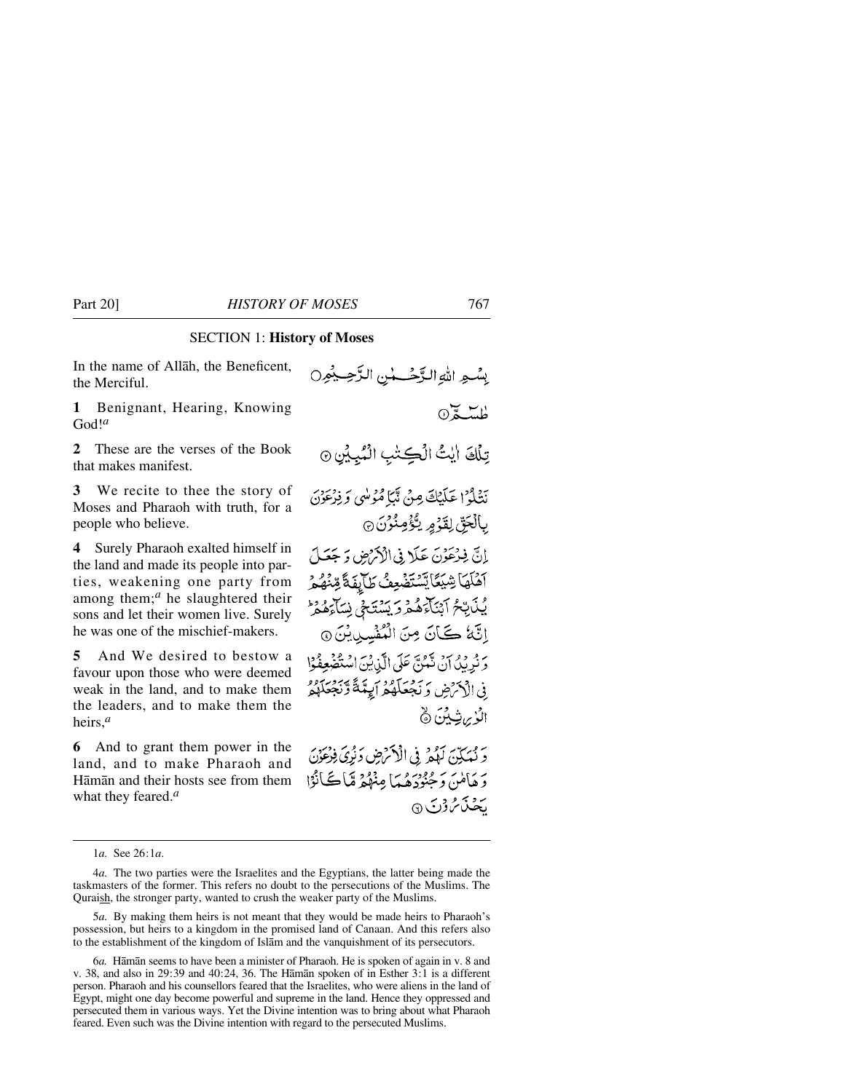## SECTION 1: **History of Moses**

In the name of Allåh, the Beneficent, the Merciful.

**1** Benignant, Hearing, Knowing God!*<sup>a</sup>*

**2** These are the verses of the Book that makes manifest.

**3** We recite to thee the story of Moses and Pharaoh with truth, for a people who believe.

**4** Surely Pharaoh exalted himself in the land and made its people into parties, weakening one party from among them;<sup>*a*</sup> he slaughtered their sons and let their women live. Surely he was one of the mischief-makers.

**5** And We desired to bestow a favour upon those who were deemed weak in the land, and to make them the leaders, and to make them the heirs,*<sup>a</sup>*

**6** And to grant them power in the land, and to make Pharaoh and Håmån and their hosts see from them what they feared.*<sup>a</sup>*

بِسْعِ اللهِ الدَّحْسِسِٰ الزَّحِيمُون  $0\leq \frac{1}{2}$ تِلْكَ ايْتُ الْكِتْبِ الْمُبِيِّنِ ۞ نَشْلُوْ ۚ عَلَيْكَ مِنْ تَيْمَا مُؤْلَّبِي وَ فِرْعَوْنَ بِالْجَقِّ لِقَوْمٍ بِگُؤْمِنُوْنَ ۞ إِنَّ فِرْعَوْنَ عَلَا فِي الْأَكْرَضِ وَ جَعَلَ آهُلَهَا شِيَعًا يَسْتَضْعِفُ طَآيِفَةً مِّنْهُمْ يُكَابِّحُ آبْنَآءَهُمْ وَيَسْتَحْى نِسَآءَهُمْ إِنَّهُ كَانَ مِنَ الْمُفْسِدِينَ @ بِهِ فِيهِ أَنْ تَعْبَى عَلَى الَّيْ بِيَ اسْتَفْهِعِفُوْا فِي الْأَخْرَضِ وَ نَجْعَلَهُمْ أَيِتَنَةً وَنَجْعَلَهُمُ الُوْبِرِيْنِيْنَ ۞ رَ مَبَكِّنَ لَهُمْ فِى الْأَكْرَضِ دَنُرِيَ فِرْعِوْنَ وَهَأَمْنَ وَحُبُوْدَهُمَا مِنْهُمْ مَّاڪَأَنُوْا بحثی مُنْ قِرْبَ ۞

1*a.* See 26:1*a*.

<sup>4</sup>*a.* The two parties were the Israelites and the Egyptians, the latter being made the taskmasters of the former. This refers no doubt to the persecutions of the Muslims. The Quraish, the stronger party, wanted to crush the weaker party of the Muslims.

<sup>5</sup>*a.* By making them heirs is not meant that they would be made heirs to Pharaoh's possession, but heirs to a kingdom in the promised land of Canaan. And this refers also to the establishment of the kingdom of Islåm and the vanquishment of its persecutors.

<sup>6</sup>*a.* Håmån seems to have been a minister of Pharaoh. He is spoken of again in v. 8 and v. 38, and also in 29:39 and 40:24, 36. The Håmån spoken of in Esther 3:1 is a different person. Pharaoh and his counsellors feared that the Israelites, who were aliens in the land of Egypt, might one day become powerful and supreme in the land. Hence they oppressed and persecuted them in various ways. Yet the Divine intention was to bring about what Pharaoh feared. Even such was the Divine intention with regard to the persecuted Muslims.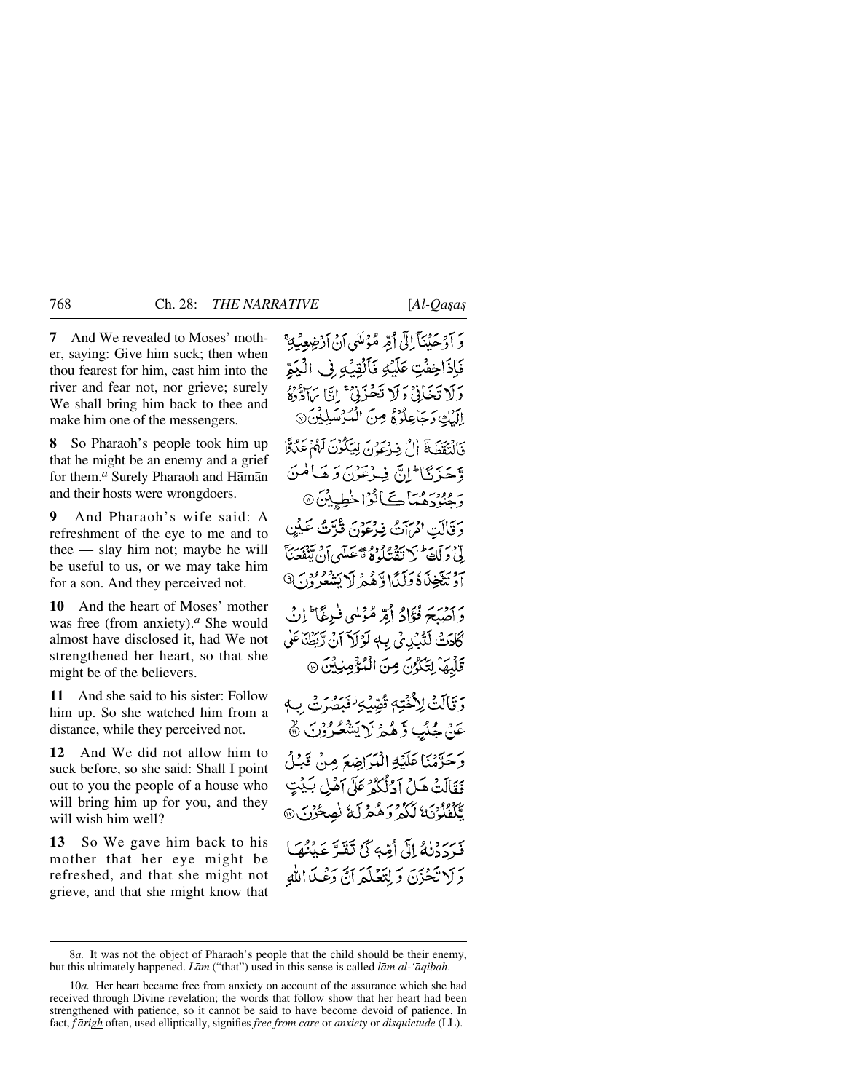**7** And We revealed to Moses' mother, saying: Give him suck; then when thou fearest for him, cast him into the river and fear not, nor grieve; surely We shall bring him back to thee and make him one of the messengers.

**8** So Pharaoh's people took him up that he might be an enemy and a grief for them.*<sup>a</sup>* Surely Pharaoh and Håmån and their hosts were wrongdoers.

**9** And Pharaoh's wife said: A refreshment of the eye to me and to thee — slay him not; maybe he will be useful to us, or we may take him for a son. And they perceived not.

**10** And the heart of Moses' mother was free (from anxiety).*<sup>a</sup>* She would almost have disclosed it, had We not strengthened her heart, so that she might be of the believers.

**11** And she said to his sister: Follow him up. So she watched him from a distance, while they perceived not.

**12** And We did not allow him to suck before, so she said: Shall I point out to you the people of a house who will bring him up for you, and they will wish him well?

**13** So We gave him back to his mother that her eye might be refreshed, and that she might not grieve, and that she might know that وَ آدْ حَيْنَآ إِلَىٰٓ أُمِّهِ مُؤْمَنَىٰٓ أَنْ أَدْخِيعِيكِ ۚ فَإِذَاخِفَتِ عَلَيْهِ فَأَلْقِيَهِ فِي الْيَمِّ دَلاَ تَخَانِيْ دَلَا تَحْذَنِيْ ۚ إِيَّا بِٱدْدُهُ إِلَيْكِ وَجَاعِلُوْهُ مِنَ الْمُرْسَلِيْنَ ۞ فَأَلْتَقَطَّةَ أَلْ فِيهْ يَحْوَنَ لِيَكُونَ لَهُمْ عَلَىٰٓؤٌا وَّجَيْزَ نَا ۖ إِنَّ فِيهِ عَوْنَ دَ هَيَا مُنَ ر وو*ڊومي*اڪائڙاخط پٽن۞ دَ قَالَتِ امْرَأَتُ فِيرْعَوْنَ قُدَّتُ عَلَيْنِ لِّيْ جَرَاجَةً لَلْ تَقْشَلُوْهُ بِيَّعْصَلَهِي أَنْ تَبْغَضَنَّا آَدَ نَتَيْخِذَكَ وَكَيْبًا وَّهُمْ لَا بَشْعُرُوْدَ ﴾ دَ أَصْبَحَ فُؤَادُ أَمَّرْ مُؤْلِبِي فَبِرِيَّ ۖ إِنِّ كَادَتْ لَتَّبْلِيِّي بِهِ لَوْلاَ آنْ رَّبَطْنَاعَلَى قَلْبِهَا لِتَكُوْنَ مِنَ الْمُؤْمِنِيْنَ ۞ وَ تَأَلَّتُ لِأَخْتِهِ تُصَّبُهِ ۖ فَقَدْ الْمَعَارِثَ بِ عَنْ جُنُبَ وَّهُمْ لَا يَشْعُرُوْنَ ۞ وَحَرَّمْنَا عَلَيْهِ الْمَرَاضِعَ مِنْ قَبْلُ نَقَالَتْ هَلْ آدُلُّكُمْ عَلَى آهُلِي بَيْتٍ بَّلْفُلُوْنَ الْكُمْ وَهُمْرِلَةُ نَصِحُوْنَ مَرْدَدْنَهُ إِلَى أُمِّهِ كَيْ تَقَدَّ عَيْنُهَا وَلَا تَحْزَنَ وَلِتَغْلَّعَهُ أَنَّ دَعْبِكَ اللَّهِ

<sup>8</sup>*a.* It was not the object of Pharaoh's people that the child should be their enemy, but this ultimately happened. *Låm* ("that") used in this sense is called *låm al-'åqibah*.

<sup>10</sup>*a.* Her heart became free from anxiety on account of the assurance which she had received through Divine revelation; the words that follow show that her heart had been strengthened with patience, so it cannot be said to have become devoid of patience. In fact, *f årigh* often, used elliptically, signifies *free from care* or *anxiety* or *disquietude* (LL).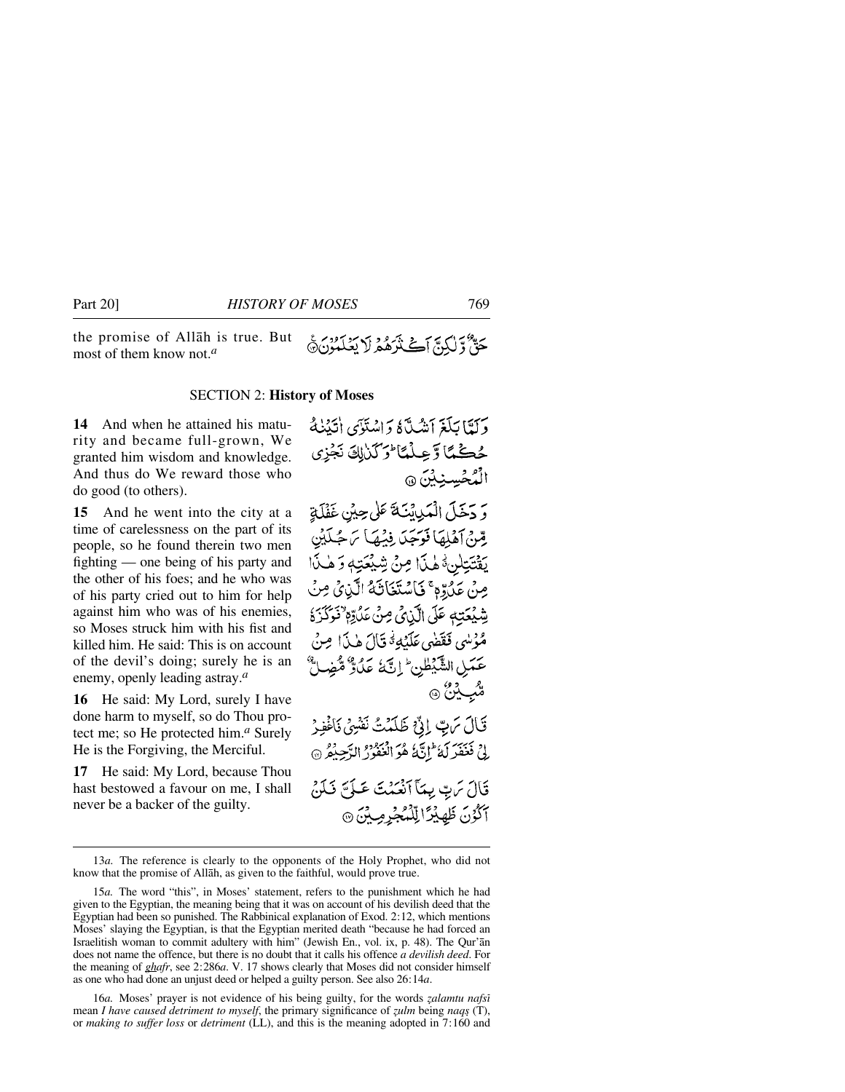the promise of Allåh is true. But جَةٌ وَلَكِيَّ أَڪَنْزَهُمْ لَا يَغْلَمُوْنَ ﴾ most of them know not.*<sup>a</sup>*

#### SECTION 2: **History of Moses**

**14** And when he attained his maturity and became full-grown, We granted him wisdom and knowledge. And thus do We reward those who do good (to others).

**15** And he went into the city at a time of carelessness on the part of its people, so he found therein two men fighting — one being of his party and the other of his foes; and he who was of his party cried out to him for help against him who was of his enemies, so Moses struck him with his fist and killed him. He said: This is on account of the devil's doing; surely he is an enemy, openly leading astray.*<sup>a</sup>*

**16** He said: My Lord, surely I have done harm to myself, so do Thou protect me; so He protected him.*<sup>a</sup>* Surely He is the Forgiving, the Merciful.

**17** He said: My Lord, because Thou hast bestowed a favour on me, I shall never be a backer of the guilty.

وَ دَخَلَ الْمَدِينَةَ عَلَى حِينٍ غَفْلَةِ قِينِ آهَلِهَا فَوَجَدَ فِيْهَا يَهْ جُلَيْنِ يَقْتَتِلِنَّ هٰذَا مِنْ شِيْعَتِهِ وَهٰذَا صِنْ عَلَٰرِّمَ ۚ فَاسْتَغَاثَهُ الَّذِى صِنَ شِيْعَتِهِ عَلَى الَّذِيِّ مِنْ عَلَيْهِ ۚ فَوَكَذَهُ مُؤْلِبِي فَقَضِي عَلَيْبِةُ قَالَ هٰذَا صِنْ عَمَلِ الشَّيْطْنِ ۖ إِنَّ ۚ عَلَٰوٌ مُّضِلٌّ ڦئب ڀٽڻ @ قَالَ مَ بِّ إِنِّ ظَلَمْتُ نَفْسِي نَاغُفِرْ لِيْ فَعَفَرِلَهُ إِنَّهُ هُوَ الْعَفُوْرُ الرَّحِيْمُ @ قَالَ سَ بِّ بِيمَا ٱنْعَيْثَ عَبَاسَ فَلَنَّ أَكْوُنَ ظَهِيْدًا لِّلْمُجْرِمِيْنَ ۞

16*a*. Moses' prayer is not evidence of his being guilty, for the words *zalamtu nafsi* mean *I have caused detriment to myself*, the primary significance of *zulm* being *naqs* (T), or *making to suffer loss* or *detriment* (LL), and this is the meaning adopted in 7:160 and

<sup>13</sup>*a.* The reference is clearly to the opponents of the Holy Prophet, who did not know that the promise of Allåh, as given to the faithful, would prove true.

<sup>15</sup>*a.* The word "this", in Moses' statement, refers to the punishment which he had given to the Egyptian, the meaning being that it was on account of his devilish deed that the Egyptian had been so punished. The Rabbinical explanation of Exod. 2:12, which mentions Moses' slaying the Egyptian, is that the Egyptian merited death "because he had forced an Israelitish woman to commit adultery with him" (Jewish En., vol. ix, p. 48). The Qur'ån does not name the offence, but there is no doubt that it calls his offence *a devilish deed*. For the meaning of *ghafr*, see 2:286*a*. V. 17 shows clearly that Moses did not consider himself as one who had done an unjust deed or helped a guilty person. See also 26:14*a*.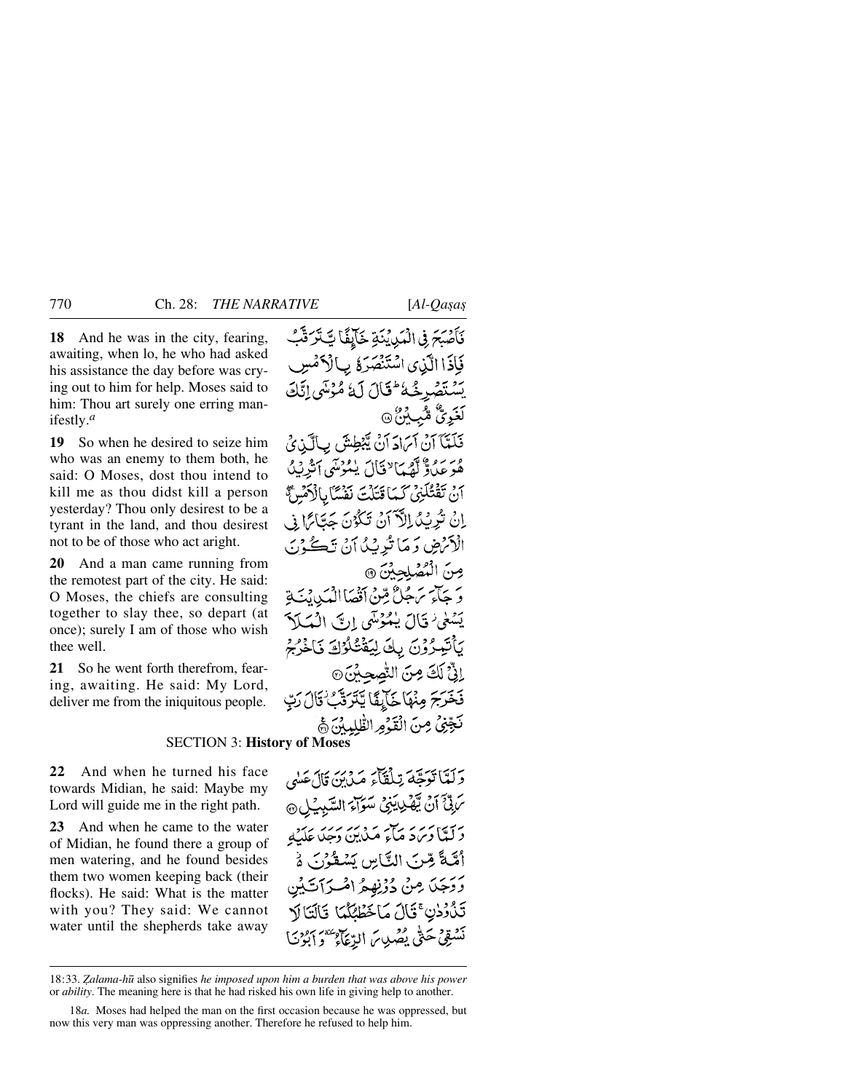**18** And he was in the city, fearing, awaiting, when lo, he who had asked his assistance the day before was crying out to him for help. Moses said to him: Thou art surely one erring manifestly.*<sup>a</sup>*

**19** So when he desired to seize him who was an enemy to them both, he said: O Moses, dost thou intend to kill me as thou didst kill a person yesterday? Thou only desirest to be a tyrant in the land, and thou desirest not to be of those who act aright.

**20** And a man came running from the remotest part of the city. He said: O Moses, the chiefs are consulting together to slay thee, so depart (at once); surely I am of those who wish thee well.

**21** So he went forth therefrom, fearing, awaiting. He said: My Lord, deliver me from the iniquitous people.

# SECTION 3: **History of Moses**

**22** And when he turned his face towards Midian, he said: Maybe my Lord will guide me in the right path.

**23** And when he came to the water of Midian, he found there a group of men watering, and he found besides them two women keeping back (their flocks). He said: What is the matter with you? They said: We cannot water until the shepherds take away

فَأَصْبَحَ فِي الْمَكِدِينَةِ خَآيِفًا تَتَتَرَقَّبُ فَإِذَا الَّذِي اسْتَنْصَرَةُ بِأَلْأَمْسِ بَسْتَصْرِخُهُٔ لِمَحْلاَلَ لَهُٔ مُّؤْسَى إِنَّكَ لَغَوِيٌّ مُثْبِكِنٌ ۞ فَلَمَّآ آنْ آمَادَ آنْ يَّبْطِشَ بِالَّذِيْ مُوَعَدُوٌّ أَهْمَا ٌ فَالَ يَمُوْسَى أَثَرِيْدُ

أَنْ تَقْتُلُّنِي كَمَا قَتَلُتَ نَفْسًا بِالْأَهْسِ مَنْ اِنْ تُرِيْبُ اِلْآَ َنْ تَكُوْنَ حَتَابًا فِي الْأَنْرَضِ وَ مَا تُدِيْدُ أَنْ تَكُوْنَ مِنَ الْمُصْلِحِينَ ۞ وَ جَآءَ سَهجُلٌّ مِّنْ أَقْصَاْ الْمَيْدِ، يَبَةِ يَسْمَىٰ قَالَ يَكْوُسَى إِنَّ الْمَكَلاَ يَأْتَبِعُرُوْنَ بِكَ لِيَقْتُلُوْكَ فَاخْرُجْ إِنَّىٌ لَكَ مِنَ النَّصِحِبِينَ۞ فَخَرَجَ مِنْهَا خَالِقًا يَتَرَتَّبُ قَالَ رَبَّ نَجِّنُ مِنَ الْقَرُوِ الطَّٰلِيِينَ ﴾

وَلَتَبَاتَوَجَّهَ تِلْقَاءَ مَدْيَنَ قَالَ عَلَيْهِ تَرَبَّىَ أَنَّ يَّهْدِيَنِيُّ سَوَاءَ السَّبِيْلِ ۞ رسما و بر به برابر بربر بربرد.<br>د لېگا د برد ماء مېلين د جلاتله أَهَّيَّةً مِّنَ النَّاسِ يَسْقُوْنَ هُ وَدَجَلَ مِنْ دُوْنِهِمُ اصْبَرَآتَ تَذْوُدْنِ ۚ قَالَ مَاخَطْئِكُمَا ۚ قَالَتَا لَا نَسْقِي حَتَّى يُصْدِينَ الرِّعَاءِ عَقْرَ أَبُوْنَ

<sup>18:33.</sup> *Zalama-hū* also signifies he imposed upon him a burden that was above his power or *ability*. The meaning here is that he had risked his own life in giving help to another.

<sup>18</sup>*a.* Moses had helped the man on the first occasion because he was oppressed, but now this very man was oppressing another. Therefore he refused to help him.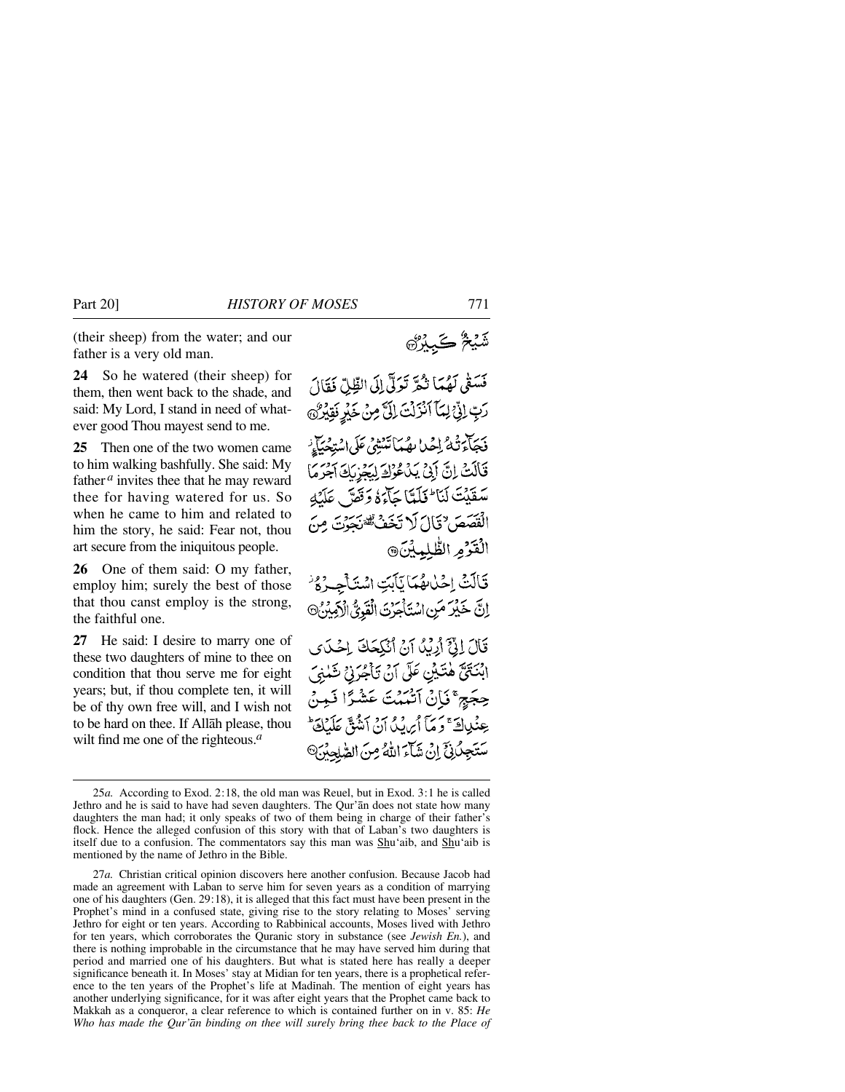(their sheep) from the water; and our father is a very old man.

**24** So he watered (their sheep) for them, then went back to the shade, and said: My Lord, I stand in need of whatever good Thou mayest send to me.

**25** Then one of the two women came to him walking bashfully. She said: My father <sup>*a*</sup> invites thee that he may reward thee for having watered for us. So when he came to him and related to him the story, he said: Fear not, thou art secure from the iniquitous people.

**26** One of them said: O my father, employ him; surely the best of those that thou canst employ is the strong, the faithful one.

**27** He said: I desire to marry one of these two daughters of mine to thee on condition that thou serve me for eight years; but, if thou complete ten, it will be of thy own free will, and I wish not to be hard on thee. If Allåh please, thou wilt find me one of the righteous.*<sup>a</sup>*

فَسَقَى لَهُمَا تُكَّرَ تَوَلَّىٰ إِلَى الظِّلِّ فَقَالَ رَبِّ إِنِّ لِمَا آَنْزَلْتَ إِلَىٰ مِنْ خَيْرٍ نَقِيْرُنَ .<br>فَجَأْءَتُهُ إِحْدا بِهُمَاتَنْشِيُ عَلَى اسْتِحْيَاتٍ قَالَتْ إِنَّ أَبِيٌ بَدُعُوْكَ لِيَعْزِيَكَ آخِرَهَا سَقَيْتَ لَنَا لَمَلَتَا جَآءَهُ وَقَعَ لَهَ عَلَيْهِ الْقَصَصَ ٌ قَالَ لَا تَخَفُّ تَقْوَيْتُ مِنَ الْقَرْمِ الظُّلْمِيْنَ® قَالَتْ إِحْلُاهُمَا يَأْبَتِ اسْتَأْجِرُهُ اِنَّ خَيْرَ مَنِ اسْتَأْجَرْتَ الْقَوِيُّ الْآمِيْنُ® قَالَ إِنَّيَّ أَرْبُدُ آنُ أَنْكِحَكَ إِحْكَ ابْنَتَيَّ هٰتَيْنِ عَلَى آنْ تَأْجُرَنِي شَلْنِيَ حِجَجٍ ۚ نَإِنَّ ٱتَّمَمُتَ عَشْرًا نَمِنَّ

عِنْدِاكَ ۚ وَ مَآ أَيْرَيْدُ أَنْ أَنثُقَّ عَلَيْهِ سَتَجِلُّلِيَّ إِنْ شَآءَ اللَّهُ مِنَ الصَّلِحِيَّ

شَيْخٌ كَبِيْرُكَ

<sup>25</sup>*a.* According to Exod. 2:18, the old man was Reuel, but in Exod. 3:1 he is called Jethro and he is said to have had seven daughters. The Qur'ån does not state how many daughters the man had; it only speaks of two of them being in charge of their father's flock. Hence the alleged confusion of this story with that of Laban's two daughters is itself due to a confusion. The commentators say this man was Shu'aib, and Shu'aib is mentioned by the name of Jethro in the Bible.

<sup>27</sup>*a.* Christian critical opinion discovers here another confusion. Because Jacob had made an agreement with Laban to serve him for seven years as a condition of marrying one of his daughters (Gen. 29:18), it is alleged that this fact must have been present in the Prophet's mind in a confused state, giving rise to the story relating to Moses' serving Jethro for eight or ten years. According to Rabbinical accounts, Moses lived with Jethro for ten years, which corroborates the Quranic story in substance (see *Jewish En.*), and there is nothing improbable in the circumstance that he may have served him during that period and married one of his daughters. But what is stated here has really a deeper significance beneath it. In Moses' stay at Midian for ten years, there is a prophetical reference to the ten years of the Prophet's life at Madinah. The mention of eight years has another underlying significance, for it was after eight years that the Prophet came back to Makkah as a conqueror, a clear reference to which is contained further on in v. 85: *He Who has made the Qur'ån binding on thee will surely bring thee back to the Place of*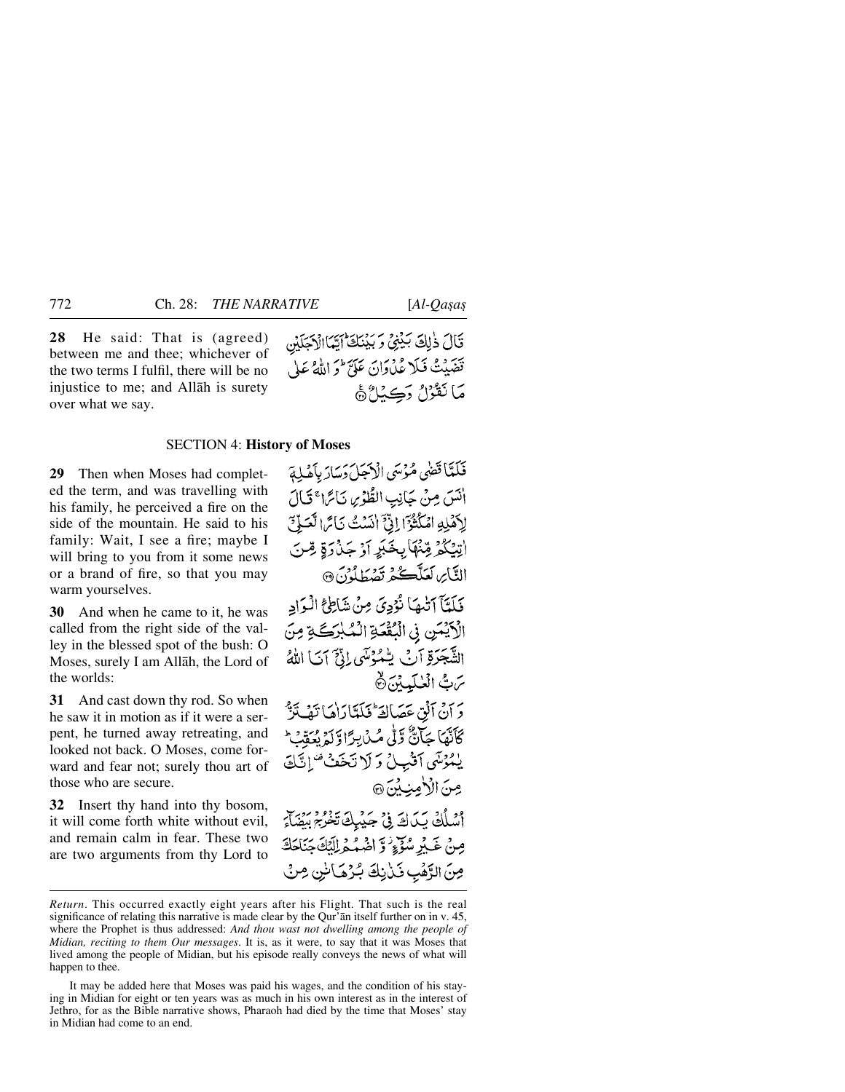**28** He said: That is (agreed) between me and thee; whichever of the two terms I fulfil, there will be no injustice to me; and Allåh is surety over what we say.

قَالَ ذٰلِكَ بَيْنِيٌّ وَبَيْنَكَ أَيَّهَا الْإِجَلَيْن تَضَيِّتُ فَبَلَا عُدُوَانَ عَلَيٌّ ۖ وَ اللَّهُ عَلَىٰ مَا نَقْرُلُ دَڪِنَا ُ هَا

### SECTION 4: **History of Moses**

**29** Then when Moses had completed the term, and was travelling with his family, he perceived a fire on the side of the mountain. He said to his family: Wait, I see a fire; maybe I will bring to you from it some news or a brand of fire, so that you may warm yourselves.

**30** And when he came to it, he was called from the right side of the valley in the blessed spot of the bush: O Moses, surely I am Allåh, the Lord of the worlds:

**31** And cast down thy rod. So when he saw it in motion as if it were a serpent, he turned away retreating, and looked not back. O Moses, come forward and fear not; surely thou art of those who are secure.

**32** Insert thy hand into thy bosom, it will come forth white without evil, and remain calm in fear. These two are two arguments from thy Lord to

فَلَمَّا قَضَى مُؤْسَى الْأَجَلَ دَسَارَ بِأَهْلِهَ انَسَ مِنْ جَانِبِ الطُّوْسِ نَائِرًا ۚ قَالَ لِأَهْلِهِ امْكُثْرَ الِنَّ انْسَتُ نَائِمَ الْعَلَىّ اتِيْكُمْ مِّنْهَا بِخَبَرٍ أَوْجَدْوَةٍ مِّنَ النَّابِرِ لَعَلَّكْمُ تَصۡطَلُوْنَ۞ فَلَعَّآ ٱتَّٰهَآ نُؤُدِيَ مِنۡ شَاطِحُ الْبِوَادِ الْأَيْسَنِ فِي الْبُقْعَةِ الْمُبْرَكَةِ مِنَ الشَّجَرَةِ آَنَ يُّمُوُسَى إِنَّ آنَا اللَّهُ مَّ بُّ الْعٰلَيِيْنَ ثَ دَ أَنْ آنُقٍ عَصَالَةٌ فَيَلَتَارَاهَا تَفَيَّتَرَ ۖ كَأَنَّهَا جَآنٌّ وَلَّى مُـٰ بِرَاوَّلَهُ بِمَقْبٍ ۖ يُمُرْسَى آَثْبِيلُ وَ لَا تَخَفُّْ " إِنَّكَ مِنَ الْأَمِينِينَ ۞ اسْلُكْ يَكَاكَ فِي جَيْبِكَ تَخْرَجَ بِيْفَ مِنْ غَيْرِ سُوِّءٍ وَ اضْهُمْ إِلَيْكَ جَنَاجَكَ مِنَ الرَّهْبِ فَيْأَنِكَ بُرُهَانِنِ مِنْ

*Return*. This occurred exactly eight years after his Flight. That such is the real significance of relating this narrative is made clear by the Qur'ån itself further on in v. 45, where the Prophet is thus addressed: *And thou wast not dwelling among the people of Midian, reciting to them Our messages*. It is, as it were, to say that it was Moses that lived among the people of Midian, but his episode really conveys the news of what will happen to thee.

It may be added here that Moses was paid his wages, and the condition of his staying in Midian for eight or ten years was as much in his own interest as in the interest of Jethro, for as the Bible narrative shows, Pharaoh had died by the time that Moses' stay in Midian had come to an end.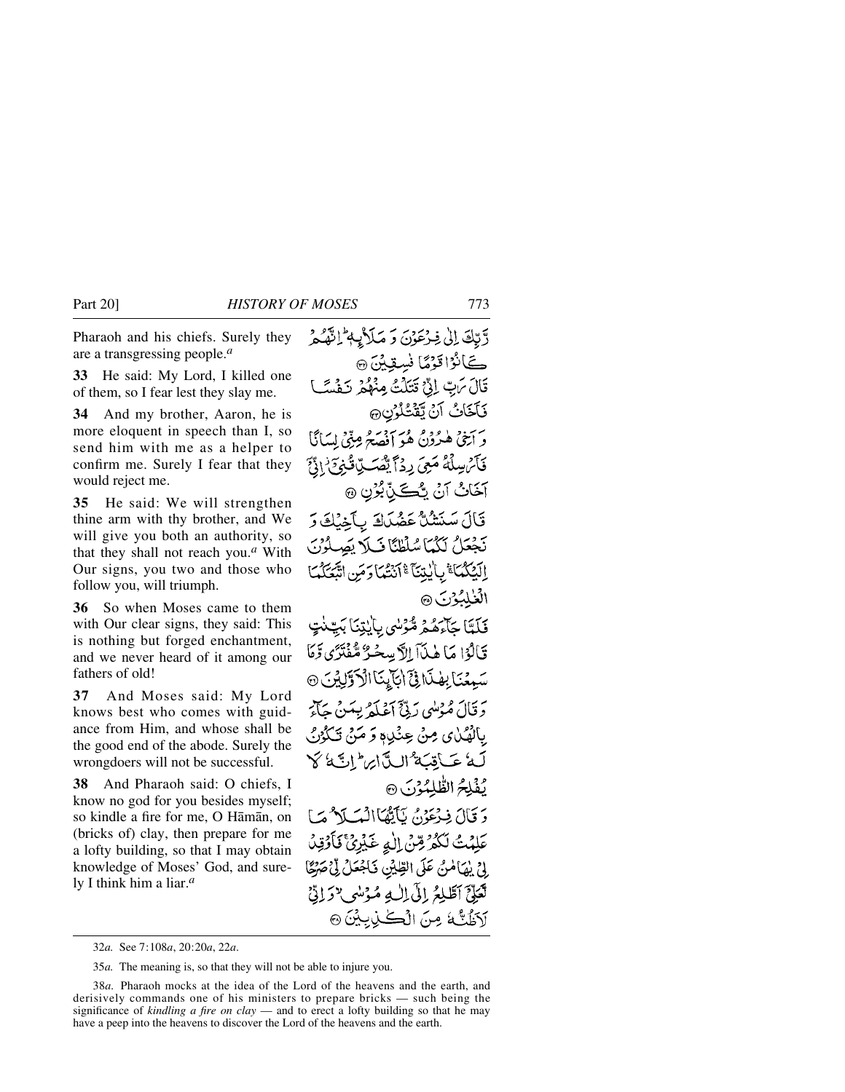Pharaoh and his chiefs. Surely they are a transgressing people.*<sup>a</sup>*

**33** He said: My Lord, I killed one of them, so I fear lest they slay me.

**34** And my brother, Aaron, he is more eloquent in speech than I, so send him with me as a helper to confirm me. Surely I fear that they would reject me.

**35** He said: We will strengthen thine arm with thy brother, and We will give you both an authority, so that they shall not reach you.*<sup>a</sup>* With Our signs, you two and those who follow you, will triumph.

**36** So when Moses came to them with Our clear signs, they said: This is nothing but forged enchantment, and we never heard of it among our fathers of old!

**37** And Moses said: My Lord knows best who comes with guidance from Him, and whose shall be the good end of the abode. Surely the wrongdoers will not be successful.

**38** And Pharaoh said: O chiefs, I know no god for you besides myself; so kindle a fire for me, O Håmån, on (bricks of) clay, then prepare for me a lofty building, so that I may obtain knowledge of Moses' God, and surely I think him a liar.*<sup>a</sup>*

دَّتِكَ إِلَىٰ فِيرْعَوْنَ وَ مَلَاثِمٍ إِنَّهُكُمْ كَانُوْاتَوْمًا نُسِقِيْنَ ۞ قَالَ مَاتٍ إِنِّي قَتَلَتُ مِنْهُمْ نَفْسَتَ فَأَخَاثُ أَنْ تَقْتُلُونِ حَ وَ أَنِتْيَ هُدُوْنٌ هُوَ أَفْصَحُ مِنِّيَ لِسَانًا فَأَيْرَ سِلْمَهُ مَعِيَ رِدۡمَ يَّصۡكِ بِّا قُبۡوَمَ ٰ ادۡنَّ آخَانُ آنُ يُنْكَنِّ بُرُنِ ۞ قَالَ سَنَتْنُلَّ عَضُدَاكَ بِأَخِيْكَ رَ نَجْعَلُ لَكُمَا سُلْطِئًا فَبِلَا يَصِلُوْنَ الَّذِكْمُاَ ۚ بِالْيِتِنَآ ۚ أَنْتُمَا دَمَنِ اتَّبَعَكُمَا الغلبون ١ فَلَتَا جَاءَهُمْ مُّؤْسٰى بِايٰتِنَا بَيِّنٰتٍ قَالَوْا مَا هٰذَآ الاَّبِسِحْيُّ مُّفْتَزَى دَّمَا سَبِّعْنَا بِهْنَا فِيَ ابْتَابِنَا الْأَوَّلِيْنَ @ دَ قَالَ مُهْشَى رَبِّيٌّ أَعْبَلَهُ بِيَينَ جَأَبَرَ بِالْهُمَٰلِي مِنْ عِنْدِيهِ وَ مَنْ تَكْوُنُ لَهُ عَبَاقِبَةٌ الِدَّارِ السَّائِعُ كَلَّ يُفْلِحُ الطَّلِمُوْنَ ۞ دَ قَالَ فِيرْعَوْنُ يَأْتِّهَاْ أَنْسَلَا مُسَأَ عَلِمۡتُ لَكُمۡرُ مِّنۡ اللّٰہِ غَیۡرِیٰۚ ۚ یَاۡوَٰٓئِیۡ بِيْنِ بِيْهَامُنْ عَلَى الطِّيْنِ فَأَجْعَلْ لِّي صَرْحًا تَعَلِّيَّ ٱطَّلِعُ إِلَى اِلٰهِ مُؤْسُو ٦ رَاتِيٌّ آدَظُتُّهُ مِنَ الْڪٰنِ بِيْنَ۞

<sup>32</sup>*a.* See 7:108*a*, 20:20*a*, 22*a*.

<sup>35</sup>*a.* The meaning is, so that they will not be able to injure you.

<sup>38</sup>*a.* Pharaoh mocks at the idea of the Lord of the heavens and the earth, and derisively commands one of his ministers to prepare bricks — such being the significance of *kindling a fire on clay* — and to erect a lofty building so that he may have a peep into the heavens to discover the Lord of the heavens and the earth.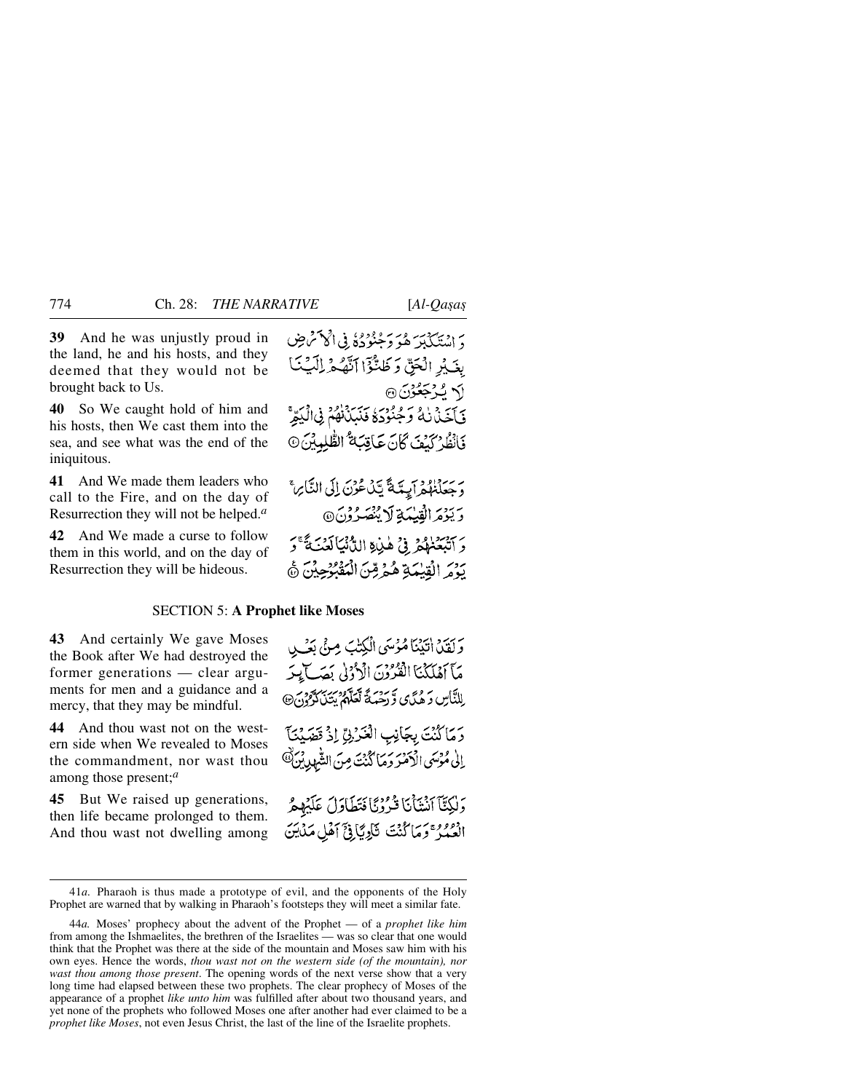**39** And he was unjustly proud in the land, he and his hosts, and they deemed that they would not be brought back to Us.

**40** So We caught hold of him and his hosts, then We cast them into the sea, and see what was the end of the iniquitous.

**41** And We made them leaders who call to the Fire, and on the day of Resurrection they will not be helped.*<sup>a</sup>*

**42** And We made a curse to follow them in this world, and on the day of Resurrection they will be hideous.

دَ اسْتَكَبَلَهُ هُوَ دَخْنُودُهُ فِي الْحَصْرَ صِ يغَيْدِ الْجَنَّ وَظَنَّوْاً اَنَّهُ مِّ اِلْبَيْتَ اكم يُؤْجَعُونَ ۞ فَأَخَذْنَكُ وَجُنُودَهُ فَنَبَذَنَّهُمْ فِى الْيَتِرَّ فَأَنْظُرْ كَيْفَ كَانَ عَاقِبَةٌ الطُّلِبِيْنَ @

د سنة وجه يه مع تين عُونَ إِلَى النَّابِرِ ۚ وَيَؤْمَرُ الْقِيْمَةِ لَا يَنْصَرُوْنَ@ دَ آتْبَعَنْهُمْ ۚ فِي هٰذِهِ اللَّهُ نِمَا لَعَبَ فَقَ وَ بَدْمَ الْقِيْمَةِ هُمْ مِّنَ الْمَقْبُوْجِيْنَ ۞

### SECTION 5: **A Prophet like Moses**

**43** And certainly We gave Moses the Book after We had destroyed the former generations — clear arguments for men and a guidance and a mercy, that they may be mindful.

**44** And thou wast not on the western side when We revealed to Moses the commandment, nor wast thou among those present;*<sup>a</sup>*

**45** But We raised up generations, then life became prolonged to them. And thou wast not dwelling among

وَلَقَدْ اٰتَيْنَا مُؤْسَى الْكِتْبَ مِنْ بَعْثَ مَآ أَهۡلَٰكُنَآ الۡقُرُوۡنَ الۡرُّدُوٰلَ بِمَصَآ بِيَرَ لِلنَّاسِ وَهُدًى وَّرَحْمَةُ تَعَلَّمُ بِتَنْ كَرْدُنَ @ وَمَاكُنْتَ بِجَانِبِ الْغَرْنِيِّ إِذْ قَصَيْتَا إِلَىٰ مُؤْسَى الْآمَنْرَ دَمَا كُنْتَ مِنَ الشَّهْدِينُ ۖ رَلَكِتَا اَنْتَأَنَا قُرُوْيًا فَتَطَاوَلَ عَلَيْهِمُ العُمْدُ ۚ وَمَا كُنْتَ تَأْوِيَّا فِيَّ أَهْلِ مَدْيَنَ

<sup>41</sup>*a.* Pharaoh is thus made a prototype of evil, and the opponents of the Holy Prophet are warned that by walking in Pharaoh's footsteps they will meet a similar fate.

<sup>44</sup>*a.* Moses' prophecy about the advent of the Prophet — of a *prophet like him* from among the Ishmaelites, the brethren of the Israelites — was so clear that one would think that the Prophet was there at the side of the mountain and Moses saw him with his own eyes. Hence the words, *thou wast not on the western side (of the mountain), nor wast thou among those present*. The opening words of the next verse show that a very long time had elapsed between these two prophets. The clear prophecy of Moses of the appearance of a prophet *like unto him* was fulfilled after about two thousand years, and yet none of the prophets who followed Moses one after another had ever claimed to be a *prophet like Moses*, not even Jesus Christ, the last of the line of the Israelite prophets.